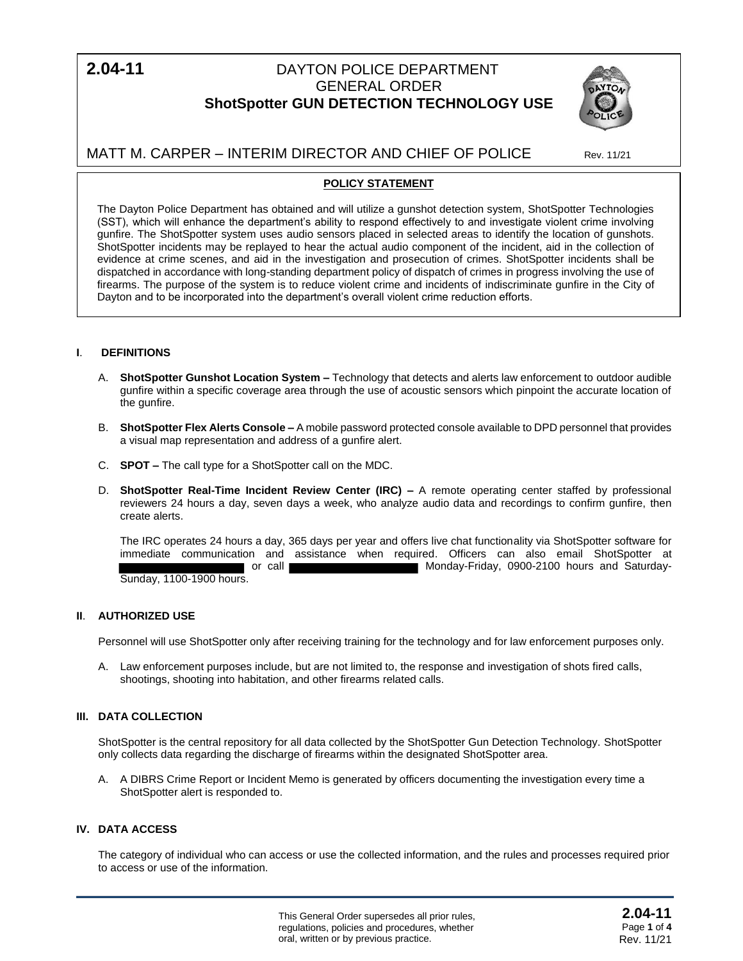$2.04 - 11$ 

# **2.04-11** DAYTON POLICE DEPARTMENT GENERAL ORDER **ShotSpotter GUN DETECTION TECHNOLOGY USE**



MATT M. CARPER – INTERIM DIRECTOR AND CHIEF OF POLICE Rev. 11/21

# **POLICY STATEMENT**

The Dayton Police Department has obtained and will utilize a gunshot detection system, ShotSpotter Technologies (SST), which will enhance the department's ability to respond effectively to and investigate violent crime involving gunfire. The ShotSpotter system uses audio sensors placed in selected areas to identify the location of gunshots. ShotSpotter incidents may be replayed to hear the actual audio component of the incident, aid in the collection of evidence at crime scenes, and aid in the investigation and prosecution of crimes. ShotSpotter incidents shall be dispatched in accordance with long-standing department policy of dispatch of crimes in progress involving the use of firearms. The purpose of the system is to reduce violent crime and incidents of indiscriminate gunfire in the City of Dayton and to be incorporated into the department's overall violent crime reduction efforts.

# **I**. **DEFINITIONS**

- A. **ShotSpotter Gunshot Location System –** Technology that detects and alerts law enforcement to outdoor audible gunfire within a specific coverage area through the use of acoustic sensors which pinpoint the accurate location of the gunfire.
- B. **ShotSpotter Flex Alerts Console –** A mobile password protected console available to DPD personnel that provides a visual map representation and address of a gunfire alert.
- C. **SPOT –** The call type for a ShotSpotter call on the MDC.
- D. **ShotSpotter Real-Time Incident Review Center (IRC) –** A remote operating center staffed by professional reviewers 24 hours a day, seven days a week, who analyze audio data and recordings to confirm gunfire, then create alerts.

The IRC operates 24 hours a day, 365 days per year and offers live chat functionality via ShotSpotter software for immediate communication and assistance when required. Officers can also email ShotSpotter at or call Monday-Friday, 0900-2100 hours and Saturday-Sunday, 1100-1900 hours.

## **II**. **AUTHORIZED USE**

Personnel will use ShotSpotter only after receiving training for the technology and for law enforcement purposes only.

A. Law enforcement purposes include, but are not limited to, the response and investigation of shots fired calls, shootings, shooting into habitation, and other firearms related calls.

# **III. DATA COLLECTION**

ShotSpotter is the central repository for all data collected by the ShotSpotter Gun Detection Technology. ShotSpotter only collects data regarding the discharge of firearms within the designated ShotSpotter area.

A. A DIBRS Crime Report or Incident Memo is generated by officers documenting the investigation every time a ShotSpotter alert is responded to.

## **IV. DATA ACCESS**

The category of individual who can access or use the collected information, and the rules and processes required prior to access or use of the information.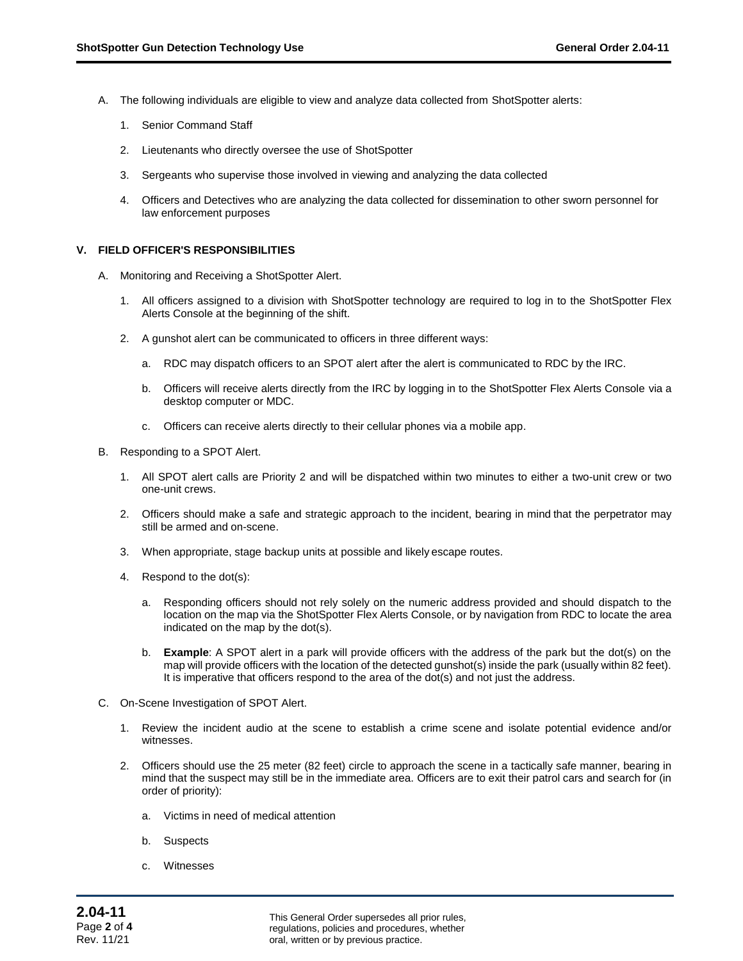- A. The following individuals are eligible to view and analyze data collected from ShotSpotter alerts:
	- 1. Senior Command Staff
	- 2. Lieutenants who directly oversee the use of ShotSpotter
	- 3. Sergeants who supervise those involved in viewing and analyzing the data collected
	- 4. Officers and Detectives who are analyzing the data collected for dissemination to other sworn personnel for law enforcement purposes

#### **V. FIELD OFFICER'S RESPONSIBILITIES**

- A. Monitoring and Receiving a ShotSpotter Alert.
	- All officers assigned to a division with ShotSpotter technology are required to log in to the ShotSpotter Flex Alerts Console at the beginning of the shift.
	- 2. A gunshot alert can be communicated to officers in three different ways:
		- a. RDC may dispatch officers to an SPOT alert after the alert is communicated to RDC by the IRC.
		- b. Officers will receive alerts directly from the IRC by logging in to the ShotSpotter Flex Alerts Console via a desktop computer or MDC.
		- c. Officers can receive alerts directly to their cellular phones via a mobile app.
- B. Responding to a SPOT Alert.
	- 1. All SPOT alert calls are Priority 2 and will be dispatched within two minutes to either a two-unit crew or two one-unit crews.
	- 2. Officers should make a safe and strategic approach to the incident, bearing in mind that the perpetrator may still be armed and on-scene.
	- 3. When appropriate, stage backup units at possible and likely escape routes.
	- 4. Respond to the dot(s):
		- a. Responding officers should not rely solely on the numeric address provided and should dispatch to the location on the map via the ShotSpotter Flex Alerts Console, or by navigation from RDC to locate the area indicated on the map by the dot(s).
		- b. **Example**: A SPOT alert in a park will provide officers with the address of the park but the dot(s) on the map will provide officers with the location of the detected gunshot(s) inside the park (usually within 82 feet). It is imperative that officers respond to the area of the dot(s) and not just the address.
- C. On-Scene Investigation of SPOT Alert.
	- 1. Review the incident audio at the scene to establish a crime scene and isolate potential evidence and/or witnesses.
	- 2. Officers should use the 25 meter (82 feet) circle to approach the scene in a tactically safe manner, bearing in mind that the suspect may still be in the immediate area. Officers are to exit their patrol cars and search for (in order of priority):
		- a. Victims in need of medical attention
		- b. Suspects
		- c. Witnesses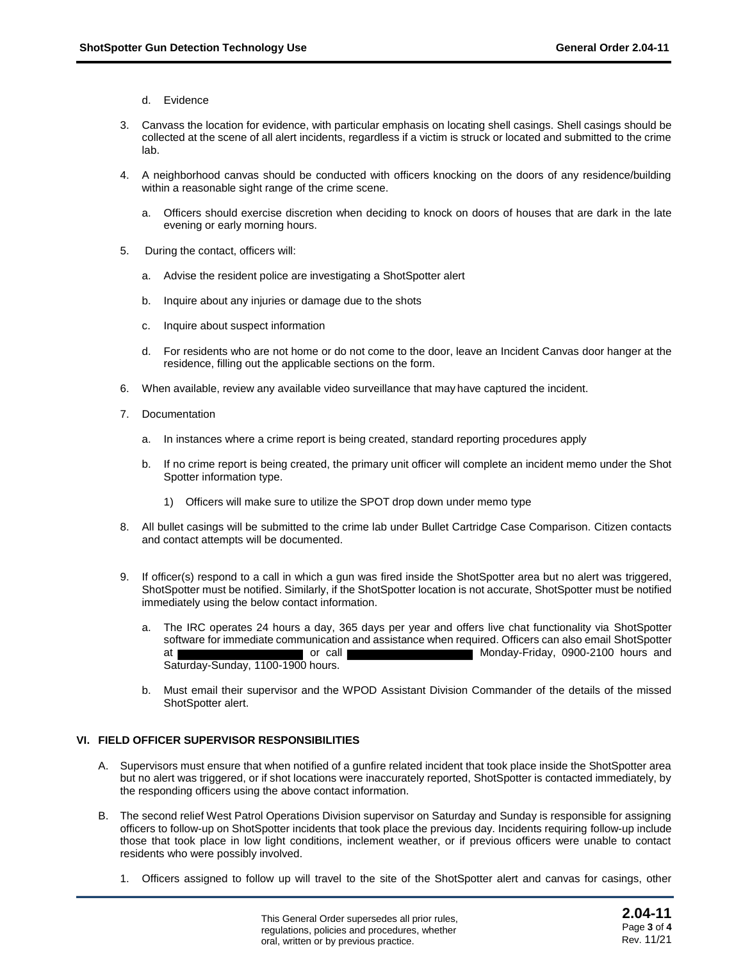- d. Evidence
- 3. Canvass the location for evidence, with particular emphasis on locating shell casings. Shell casings should be collected at the scene of all alert incidents, regardless if a victim is struck or located and submitted to the crime lab.
- 4. A neighborhood canvas should be conducted with officers knocking on the doors of any residence/building within a reasonable sight range of the crime scene.
	- a. Officers should exercise discretion when deciding to knock on doors of houses that are dark in the late evening or early morning hours.
- 5. During the contact, officers will:
	- a. Advise the resident police are investigating a ShotSpotter alert
	- b. Inquire about any injuries or damage due to the shots
	- c. Inquire about suspect information
	- d. For residents who are not home or do not come to the door, leave an Incident Canvas door hanger at the residence, filling out the applicable sections on the form.
- 6. When available, review any available video surveillance that may have captured the incident.
- 7. Documentation
	- a. In instances where a crime report is being created, standard reporting procedures apply
	- b. If no crime report is being created, the primary unit officer will complete an incident memo under the Shot Spotter information type.
		- 1) Officers will make sure to utilize the SPOT drop down under memo type
- 8. All bullet casings will be submitted to the crime lab under Bullet Cartridge Case Comparison. Citizen contacts and contact attempts will be documented.
- 9. If officer(s) respond to a call in which a gun was fired inside the ShotSpotter area but no alert was triggered, ShotSpotter must be notified. Similarly, if the ShotSpotter location is not accurate, ShotSpotter must be notified immediately using the below contact information.
	- a. The IRC operates 24 hours a day, 365 days per year and offers live chat functionality via ShotSpotter software for immediate communication and assistance when required. Officers can also email ShotSpotter at **or call Monday-Friday, 0900-2100 hours and** Saturday-Sunday, 1100-1900 hours.
	- b. Must email their supervisor and the WPOD Assistant Division Commander of the details of the missed ShotSpotter alert.

### **VI. FIELD OFFICER SUPERVISOR RESPONSIBILITIES**

- A. Supervisors must ensure that when notified of a gunfire related incident that took place inside the ShotSpotter area but no alert was triggered, or if shot locations were inaccurately reported, ShotSpotter is contacted immediately, by the responding officers using the above contact information.
- B. The second relief West Patrol Operations Division supervisor on Saturday and Sunday is responsible for assigning officers to follow-up on ShotSpotter incidents that took place the previous day. Incidents requiring follow-up include those that took place in low light conditions, inclement weather, or if previous officers were unable to contact residents who were possibly involved.
	- 1. Officers assigned to follow up will travel to the site of the ShotSpotter alert and canvas for casings, other